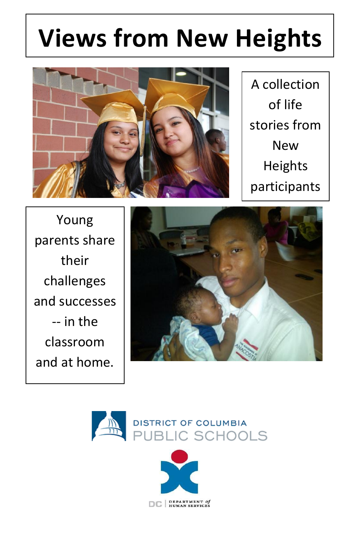# **Views from New Heights**



A collection of life stories from New Heights participants

Young parents share their challenges and successes -- in the classroom and at home.





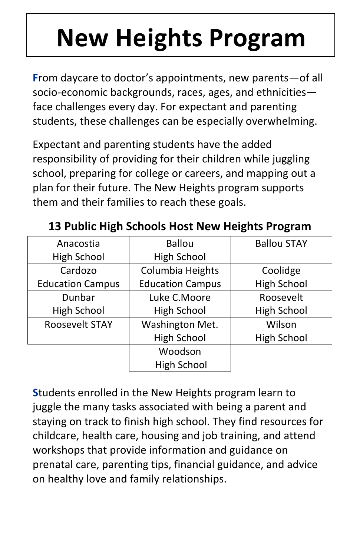# **New Heights Program**

**F**rom daycare to doctor's appointments, new parents—of all socio-economic backgrounds, races, ages, and ethnicities face challenges every day. For expectant and parenting students, these challenges can be especially overwhelming.

Expectant and parenting students have the added responsibility of providing for their children while juggling school, preparing for college or careers, and mapping out a plan for their future. The New Heights program supports them and their families to reach these goals.

| Anacostia               | <b>Ballou</b>           | <b>Ballou STAY</b> |
|-------------------------|-------------------------|--------------------|
| High School             | High School             |                    |
| Cardozo                 | Columbia Heights        | Coolidge           |
| <b>Education Campus</b> | <b>Education Campus</b> | <b>High School</b> |
| Dunbar                  | Luke C.Moore            | Roosevelt          |
| High School             | High School             | <b>High School</b> |
| <b>Roosevelt STAY</b>   | Washington Met.         | Wilson             |
|                         | High School             | High School        |
|                         | Woodson                 |                    |
|                         | High School             |                    |

**13 Public High Schools Host New Heights Program**

**S**tudents enrolled in the New Heights program learn to juggle the many tasks associated with being a parent and staying on track to finish high school. They find resources for childcare, health care, housing and job training, and attend workshops that provide information and guidance on prenatal care, parenting tips, financial guidance, and advice on healthy love and family relationships.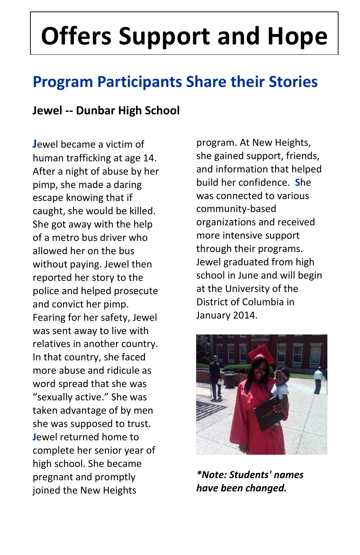# **Offers Support and Hope**

## **Program Participants Share their Stories**

#### **Jewel -- Dunbar High School**

**J**ewel became a victim of human trafficking at age 14. After a night of abuse by her pimp, she made a daring escape knowing that if caught, she would be killed. She got away with the help of a metro bus driver who allowed her on the bus without paying. Jewel then reported her story to the police and helped prosecute and convict her pimp. Fearing for her safety, Jewel was sent away to live with relatives in another country. In that country, she faced more abuse and ridicule as word spread that she was "sexually active." She was taken advantage of by men she was supposed to trust. **J**ewel returned home to complete her senior year of high school. She became pregnant and promptly joined the New Heights

program. At New Heights, she gained support, friends, and information that helped build her confidence. **S**he was connected to various community-based organizations and received more intensive support through their programs. Jewel graduated from high school in June and will begin at the University of the District of Columbia in January 2014.



*\*Note: Students' names have been changed.*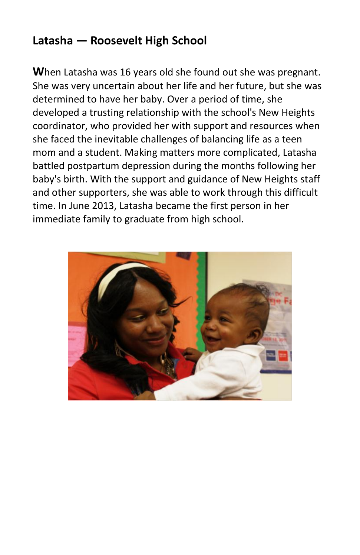#### **Latasha — Roosevelt High School**

**W**hen Latasha was 16 years old she found out she was pregnant. She was very uncertain about her life and her future, but she was determined to have her baby. Over a period of time, she developed a trusting relationship with the school's New Heights coordinator, who provided her with support and resources when she faced the inevitable challenges of balancing life as a teen mom and a student. Making matters more complicated, Latasha battled postpartum depression during the months following her baby's birth. With the support and guidance of New Heights staff and other supporters, she was able to work through this difficult time. In June 2013, Latasha became the first person in her immediate family to graduate from high school.

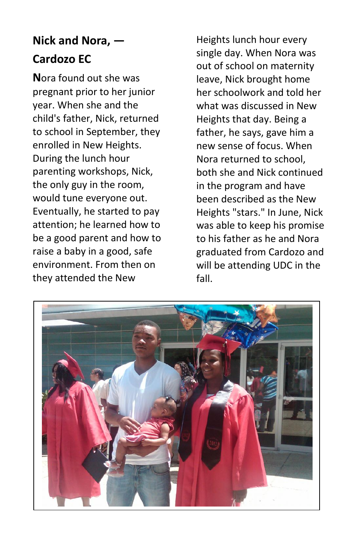### **Nick and Nora, — Cardozo EC**

**N**ora found out she was pregnant prior to her junior year. When she and the child's father, Nick, returned to school in September, they enrolled in New Heights. During the lunch hour parenting workshops, Nick, the only guy in the room, would tune everyone out. Eventually, he started to pay attention; he learned how to be a good parent and how to raise a baby in a good, safe environment. From then on they attended the New

Heights lunch hour every single day. When Nora was out of school on maternity leave, Nick brought home her schoolwork and told her what was discussed in New Heights that day. Being a father, he says, gave him a new sense of focus. When Nora returned to school, both she and Nick continued in the program and have been described as the New Heights "stars." In June, Nick was able to keep his promise to his father as he and Nora graduated from Cardozo and will be attending UDC in the fall.

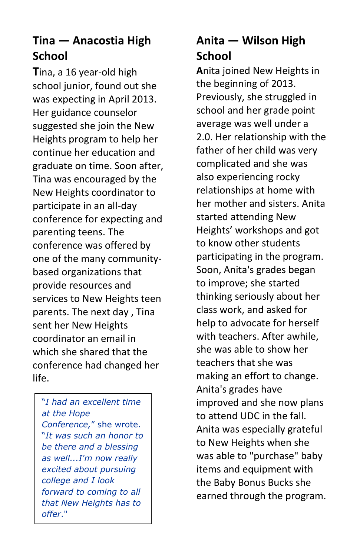### **Tina — Anacostia High School**

**T**ina, a 16 year-old high school junior, found out she was expecting in April 2013. Her guidance counselor suggested she join the New Heights program to help her continue her education and graduate on time. Soon after, Tina was encouraged by the New Heights coordinator to participate in an all-day conference for expecting and parenting teens. The conference was offered by one of the many communitybased organizations that provide resources and services to New Heights teen parents. The next day , Tina sent her New Heights coordinator an email in which she shared that the conference had changed her life.

"*I had an excellent time at the Hope Conference,*" she wrote. "*It was such an honor to be there and a blessing as well...I'm now really excited about pursuing college and I look forward to coming to all that New Heights has to offer*."

#### **Anita — Wilson High School**

**A**nita joined New Heights in the beginning of 2013. Previously, she struggled in school and her grade point average was well under a 2.0. Her relationship with the father of her child was very complicated and she was also experiencing rocky relationships at home with her mother and sisters. Anita started attending New Heights' workshops and got to know other students participating in the program. Soon, Anita's grades began to improve; she started thinking seriously about her class work, and asked for help to advocate for herself with teachers. After awhile, she was able to show her teachers that she was making an effort to change. Anita's grades have improved and she now plans to attend UDC in the fall. Anita was especially grateful to New Heights when she was able to "purchase" baby items and equipment with the Baby Bonus Bucks she earned through the program.